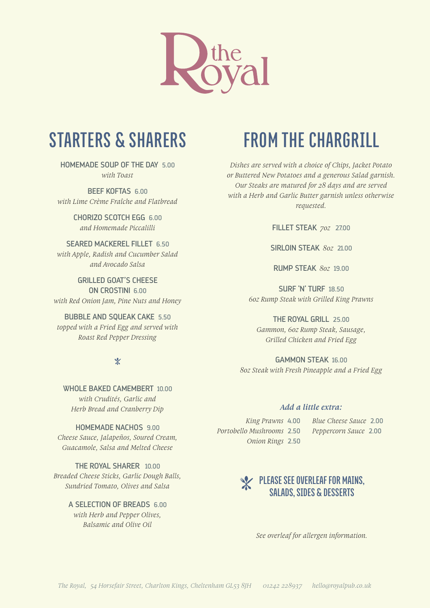

# **STARTERS & SHARERS**

HOMEMADE SOUP OF THE DAY 5.00 *with Toast* 

BEEF KOFTAS 6.00 *with Lime Crème Fraîche and Flatbread*

> CHORIZO SCOTCH EGG 6.00 *and Homemade Piccalilli*

SEARED MACKEREL FILLET 6.50 *with Apple, Radish and Cucumber Salad and Avocado Salsa*

GRILLED GOAT'S CHEESE ON CROSTINI 6.00 *with Red Onion Jam, Pine Nuts and Honey*

BUBBLE AND SQUEAK CAKE 5.50 *topped with a Fried Egg and served with Roast Red Pepper Dressing* 

#### $\mathbb{X}$

WHOLE BAKED CAMEMBERT 10.00 *with Crudités, Garlic and Herb Bread and Cranberry Dip*

HOMEMADE NACHOS 9.00 *Cheese Sauce, Jalapeños, Soured Cream, Guacamole, Salsa and Melted Cheese*

THE ROYAL SHARER 10.00 *Breaded Cheese Sticks, Garlic Dough Balls, Sundried Tomato, Olives and Salsa*

> A SELECTION OF BREADS 6.00 *with Herb and Pepper Olives, Balsamic and Olive Oil*

# **FROM THE CHARGRILL**

*Dishes are served with a choice of Chips, Jacket Potato or Buttered New Potatoes and a generous Salad garnish. Our Steaks are matured for 28 days and are served with a Herb and Garlic Butter garnish unless otherwise requested.*

FILLET STEAK *7oz* 27.00

SIRLOIN STEAK *8oz* 21.00

RUMP STEAK *8oz* 19.00

SURF 'N' TURF 18.50 *6oz Rump Steak with Grilled King Prawns*

THE ROYAL GRILL 25.00 *Gammon, 6oz Rump Steak, Sausage, Grilled Chicken and Fried Egg*

GAMMON STEAK 16.00 *8oz Steak with Fresh Pineapple and a Fried Egg*

#### *Add a little extra:*

*Portobello Mushrooms* 2.50 *Peppercorn Sauce* 2.00 *Onion Rings* 2.50

*King Prawns* 4.00 *Blue Cheese Sauce* 2.00

### **PLEASE SEE OVERLEAF FOR MAINS, SALADS, SIDES & DESSERTS**

*See overleaf for allergen information.*